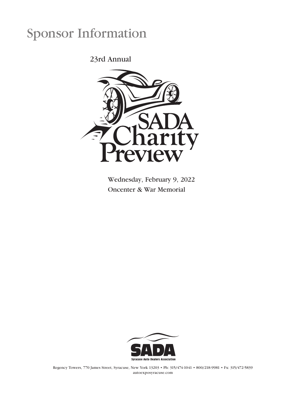# Sponsor Information

23rd Annual



Wednesday, February 9, 2022 Oncenter & War Memorial



Regency Towers, 770 James Street, Syracuse, New York 13203 • Ph: 315/474-1041 • 800/218-9981 • Fx: 315/472-5839 autoexposyracuse.com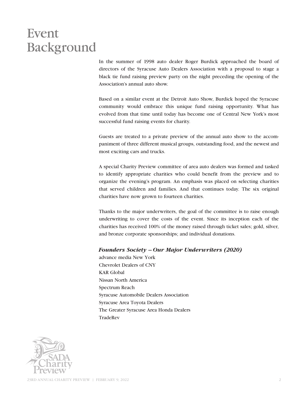## Event Background

In the summer of 1998 auto dealer Roger Burdick approached the board of directors of the Syracuse Auto Dealers Association with a proposal to stage a black tie fund raising preview party on the night preceding the opening of the Association's annual auto show.

Based on a similar event at the Detroit Auto Show, Burdick hoped the Syracuse community would embrace this unique fund raising opportunity. What has evolved from that time until today has become one of Central New York's most successful fund raising events for charity.

Guests are treated to a private preview of the annual auto show to the accompaniment of three different musical groups, outstanding food, and the newest and most exciting cars and trucks.

A special Charity Preview committee of area auto dealers was formed and tasked to identify appropriate charities who could benefit from the preview and to organize the evening's program. An emphasis was placed on selecting charities that served children and families. And that continues today. The six original charities have now grown to fourteen charities.

Thanks to the major underwriters, the goal of the committee is to raise enough underwriting to cover the costs of the event. Since its inception each of the charities has received 100% of the money raised through ticket sales; gold, silver, and bronze corporate sponsorships; and individual donations.

## *Founders Society – Our Major Underwriters (2020)*

advance media New York Chevrolet Dealers of CNY KAR Global Nissan North America Spectrum Reach Syracuse Automobile Dealers Association Syracuse Area Toyota Dealers The Greater Syracuse Area Honda Dealers **TradeRev** 

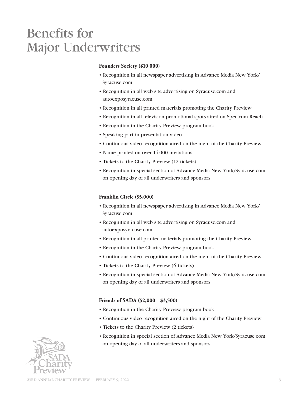## Benefits for Major Underwriters

## **Founders Society (\$10,000)**

- Recognition in all newspaper advertising in Advance Media New York/ Syracuse.com
- Recognition in all web site advertising on Syracuse.com and autoexposyracuse.com
- Recognition in all printed materials promoting the Charity Preview
- Recognition in all television promotional spots aired on Spectrum Reach
- Recognition in the Charity Preview program book
- Speaking part in presentation video
- Continuous video recognition aired on the night of the Charity Preview
- Name printed on over 14,000 invitations
- Tickets to the Charity Preview (12 tickets)
- Recognition in special section of Advance Media New York/Syracuse.com on opening day of all underwriters and sponsors

## **Franklin Circle (\$5,000)**

- Recognition in all newspaper advertising in Advance Media New York/ Syracuse.com
- Recognition in all web site advertising on Syracuse.com and autoexposyracuse.com
- Recognition in all printed materials promoting the Charity Preview
- Recognition in the Charity Preview program book
- Continuous video recognition aired on the night of the Charity Preview
- Tickets to the Charity Preview (6 tickets)
- Recognition in special section of Advance Media New York/Syracuse.com on opening day of all underwriters and sponsors

## **Friends of SADA (\$2,000 – \$3,500)**

- Recognition in the Charity Preview program book
- Continuous video recognition aired on the night of the Charity Preview
- Tickets to the Charity Preview (2 tickets)
- Recognition in special section of Advance Media New York/Syracuse.com on opening day of all underwriters and sponsors

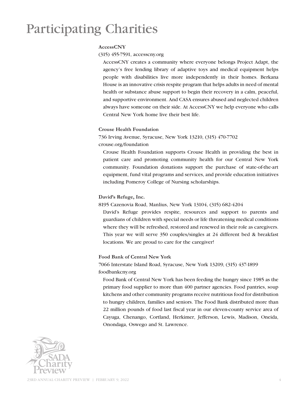# Participating Charities

## **AccessCNY**

(315) 455-7591, accesscny.org

AccessCNY creates a community where everyone belongs Project Adapt, the agency's free lending library of adaptive toys and medical equipment helps people with disabilities live more independently in their homes. Berkana House is an innovative crisis respite program that helps adults in need of mental health or substance abuse support to begin their recovery in a calm, peaceful, and supportive environment. And CASA ensures abused and neglected children always have someone on their side. At AccessCNY we help everyone who calls Central New York home live their best life.

### **Crouse Health Foundation**

736 Irving Avenue, Syracuse, New York 13210, (315) 470-7702 crouse.org/foundation

Crouse Health Foundation supports Crouse Health in providing the best in patient care and promoting community health for our Central New York community. Foundation donations support the purchase of state-of-the-art equipment, fund vital programs and services, and provide education initiatives including Pomeroy College of Nursing scholarships.

## **David's Refuge, Inc.**

8195 Cazenovia Road, Manlius, New York 13104, (315) 682-4204

David's Refuge provides respite, resources and support to parents and guardians of children with special needs or life threatening medical conditions where they will be refreshed, restored and renewed in their role as caregivers. This year we will serve 350 couples/singles at 24 different bed & breakfast locations. We are proud to care for the caregiver!

## **Food Bank of Central New York**

7066 Interstate Island Road, Syracuse, New York 13209, (315) 437-1899 foodbankcny.org

Food Bank of Central New York has been feeding the hungry since 1985 as the primary food supplier to more than 400 partner agencies. Food pantries, soup kitchens and other community programs receive nutritious food for distribution to hungry children, families and seniors. The Food Bank distributed more than 22 million pounds of food last fiscal year in our eleven-county service area of Cayuga, Chenango, Cortland, Herkimer, Jefferson, Lewis, Madison, Oneida, Onondaga, Oswego and St. Lawrence.

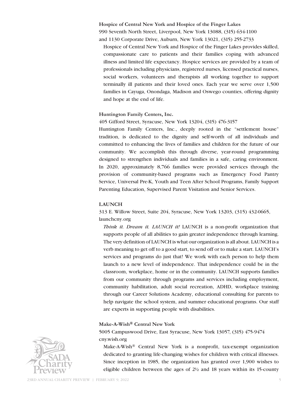**Hospice of Central New York and Hospice of the Finger Lakes** 990 Seventh North Street, Liverpool, New York 13088, (315) 634-1100 and 1130 Corporate Drive, Auburn, New York 13021, (315) 255-2733

Hospice of Central New York and Hospice of the Finger Lakes provides skilled, compassionate care to patients and their families coping with advanced illness and limited life expectancy. Hospice services are provided by a team of professionals including physicians, registered nurses, licensed practical nurses, social workers, volunteers and therapists all working together to support terminally ill patients and their loved ones. Each year we serve over 1,500 families in Cayuga, Onondaga, Madison and Oswego counties, offering dignity and hope at the end of life.

#### **Huntington Family Centers, Inc.**

#### 405 Gifford Street, Syracuse, New York 13204, (315) 476-3157

Huntington Family Centers, Inc., deeply rooted in the "settlement house" tradition, is dedicated to the dignity and self-worth of all individuals and committed to enhancing the lives of families and children for the future of our community. We accomplish this through diverse, year-round programming designed to strengthen individuals and families in a safe, caring environment. In 2020, approximately 8,766 families were provided services through the provision of community-based programs such as Emergency Food Pantry Service, Universal Pre-K, Youth and Teen After School Programs, Family Support Parenting Education, Supervised Parent Visitation and Senior Services.

#### **LAUNCH**

313 E. Willow Street, Suite 204, Syracuse, New York 13203, (315) 432-0665, launchcny.org

*Think it. Dream it. LAUNCH it!* LAUNCH is a non-profit organization that supports people of all abilities to gain greater independence through learning. The very definition of LAUNCH is what our organization is all about. LAUNCH is a verb meaning to get off to a good start, to send off or to make a start. LAUNCH's services and programs do just that! We work with each person to help them launch to a new level of independence. That independence could be in the classroom, workplace, home or in the community. LAUNCH supports families from our community through programs and services including employment, community habilitation, adult social recreation, ADHD, workplace training through our Career Solutions Academy, educational consulting for parents to help navigate the school system, and summer educational programs. Our staff are experts in supporting people with disabilities.

#### **Make-A-Wish® Central New York**

## 5005 Campuswood Drive, East Syracuse, New York 13057, (315) 475-9474 cny.wish.org

Make-A-Wish® Central New York is a nonprofit, tax-exempt organization dedicated to granting life-changing wishes for children with critical illnesses. Since inception in 1985, the organization has granted over 1,900 wishes to eligible children between the ages of  $2\frac{1}{2}$  and 18 years within its 15-county

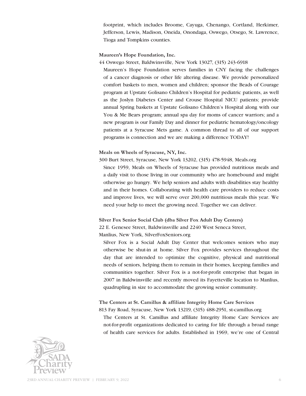footprint, which includes Broome, Cayuga, Chenango, Cortland, Herkimer, Jefferson, Lewis, Madison, Oneida, Onondaga, Oswego, Otsego, St. Lawrence, Tioga and Tompkins counties.

#### **Maureen's Hope Foundation, Inc.**

44 Oswego Street, Baldwinsville, New York 13027, (315) 243-6918

Maureen's Hope Foundation serves families in CNY facing the challenges of a cancer diagnosis or other life altering disease. We provide personalized comfort baskets to men, women and children; sponsor the Beads of Courage program at Upstate Golisano Children's Hospital for pediatric patients, as well as the Joslyn Diabetes Center and Crouse Hospital NICU patients; provide annual Spring baskets at Upstate Golisano Children's Hospital along with our You & Me Bears program; annual spa day for moms of cancer warriors; and a new program is our Family Day and dinner for pediatric hematology/oncology patients at a Syracuse Mets game. A common thread to all of our support programs is connection and we are making a difference TODAY!

#### **Meals on Wheels of Syracuse, NY, Inc.**

300 Burt Street, Syracuse, New York 13202, (315) 478-5948, Meals.org Since 1959, Meals on Wheels of Syracuse has provided nutritious meals and a daily visit to those living in our community who are homebound and might otherwise go hungry. We help seniors and adults with disabilities stay healthy and in their homes. Collaborating with health care providers to reduce costs and improve lives, we will serve over 200,000 nutritious meals this year. We need your help to meet the growing need. Together we can deliver.

**Silver Fox Senior Social Club (dba Silver Fox Adult Day Centers)**

22 E. Genesee Street, Baldwinsville and 2240 West Seneca Street,

Manlius, New York, SilverFoxSeniors.org

Silver Fox is a Social Adult Day Center that welcomes seniors who may otherwise be shut-in at home. Silver Fox provides services throughout the day that are intended to optimize the cognitive, physical and nutritional needs of seniors, helping them to remain in their homes, keeping families and communities together. Silver Fox is a not-for-profit enterprise that began in 2007 in Baldwinsville and recently moved its Fayetteville location to Manlius, quadrupling in size to accommodate the growing senior community.

## **The Centers at St. Camillus & affiliate Integrity Home Care Services**

813 Fay Road, Syracuse, New York 13219, (315) 488-2951, st-camillus.org

The Centers at St. Camillus and affiliate Integrity Home Care Services are not-for-profit organizations dedicated to caring for life through a broad range of health care services for adults. Established in 1969, we're one of Central

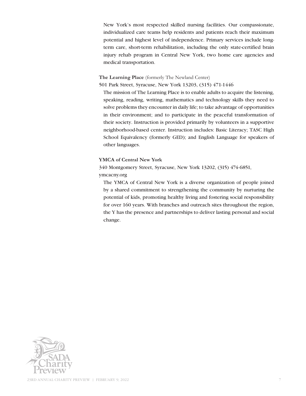New York's most respected skilled nursing facilities. Our compassionate, individualized care teams help residents and patients reach their maximum potential and highest level of independence. Primary services include longterm care, short-term rehabilitation, including the only state-certified brain injury rehab program in Central New York, two home care agencies and medical transportation.

## **The Learning Place** (formerly The Newland Center)

501 Park Street, Syracuse, New York 13203, (315) 471-1446

The mission of The Learning Place is to enable adults to acquire the listening, speaking, reading, writing, mathematics and technology skills they need to solve problems they encounter in daily life; to take advantage of opportunities in their environment; and to participate in the peaceful transformation of their society. Instruction is provided primarily by volunteers in a supportive neighborhood-based center. Instruction includes: Basic Literacy; TASC High School Equivalency (formerly GED); and English Language for speakers of other languages.

### **YMCA of Central New York**

340 Montgomery Street, Syracuse, New York 13202, (315) 474-6851, ymcacny.org

The YMCA of Central New York is a diverse organization of people joined by a shared commitment to strengthening the community by nurturing the potential of kids, promoting healthy living and fostering social responsibility for over 160 years. With branches and outreach sites throughout the region, the Y has the presence and partnerships to deliver lasting personal and social change.